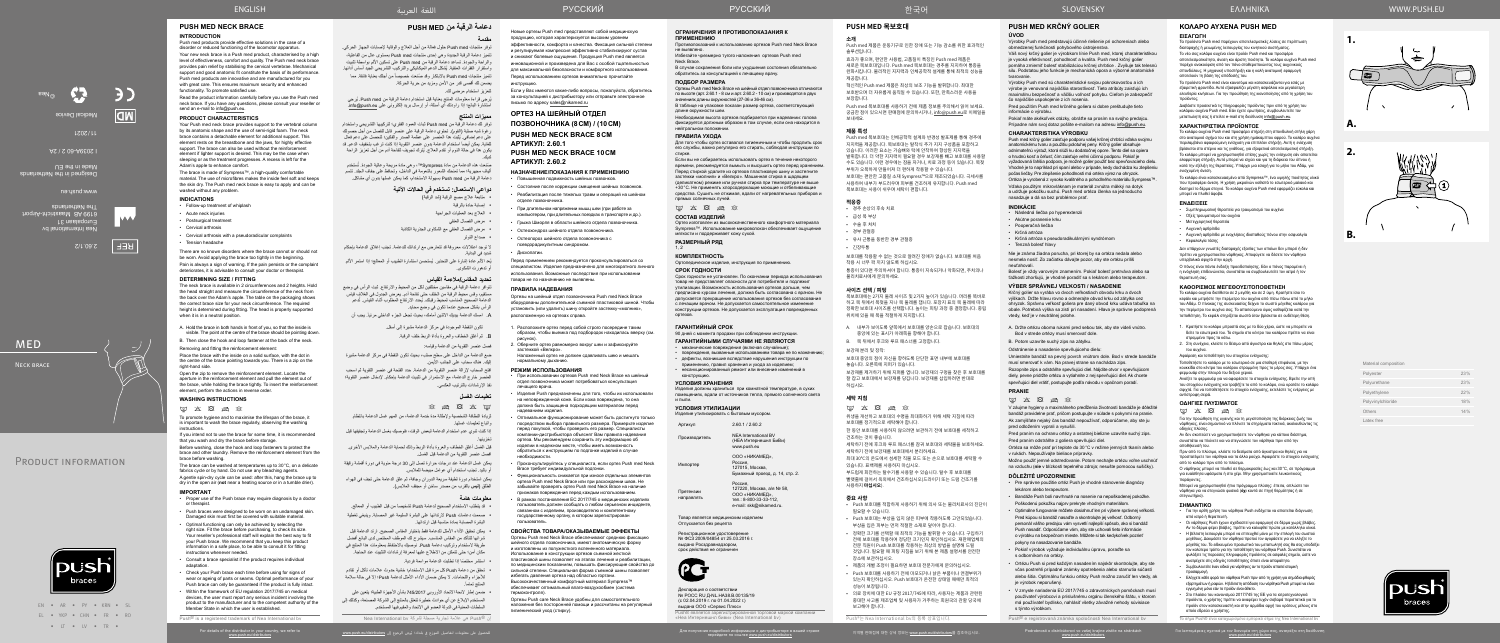EN • AR • PY • KRN • SL EL • YKP • CHN • FR • RO • IT • IV • TR •

- Proper use of the Push brace may require diagnosis by a doctor or therapist.
- Push braces were designed to be worn on an undamaged skin. Damaged skin must first be covered with suitable material.
- Optimal functioning can only be achieved by selecting the right size. Fit the brace before purchasing, to check its size. Your reseller's professional staff will explain the best way to fit your Push brace. We recommend that you keep this product information in a safe place, to be able to consult it for fitting instructions whenever needed.
- Consult a brace specialist if the product requires individual adaptation
- Check your Push brace each time before using for signs of wear or ageing of parts or seams. Optimal performance of your Push brace can only be guaranteed if the product is fully intact.
- Within the framework of EU regulation 2017/745 on medical devices, the user must report any serious incident involving the product to the manufacturer and to the competent authority of the
- Member State in which the user is established. Push<sup>®</sup> is a registered trademark of Nea International by

of the distributor in your country, we refer to

Για λεπτομέρειες σχετικά με τον διανομέα στη χώρα σας, ανατρέξτε στη διεύθυνση

ف

2.60.1/2

**REF** 

Nea International bv Europalaan 31  $\epsilon$  and  $\epsilon$  and  $\epsilon$ The Netherlands

www.push.eu

Designed in the Netherlands

**MED** 

N<sub>FCK</sub> BRACE

Made in the EU

I 2039A-60 2 / 2A

2021 / 11

Medical Device

**CENT** 

©Nea

| Material composition |     |
|----------------------|-----|
| Polyester            | 23% |
| Polyurethane         | 23% |
| Polyethylene         | 22% |
| Polyvinylchloride    | 18% |
| Others               | 14% |
| Latex free           |     |

Mate

**2.**

**1.**



**A.**

**B.**





**دعامة الرقبة من MED PUSH**

**مقدمة**

صَنعت هذه الدعامة من مادة Sympress™، وهي مادة مريحة وعالية الجودة. تُستخدم ألياف مجهرية؛ مما تمنحك الشعور بالنعومة في الداخل، وتحافظ على جفاف الجلد. تتسم دعامة الرقبة من med Push بسهولة االستخدام، كما يمكن غسلها بدون أي مشاكل.

- متابعة عالج مصع الرقبة )شد الرقبة(
	- إصابة حادة بالرقبة
- العالج بعد العمليات الجراحية
- مرض الفصال العنقي
- مرض الفصال العنقي مع الشكاوى الجذرية الكاذبة
- صداع التوتر ال توجد اعتالالت معروفة قد تتعارض مع ارتدائك للدعامة. تجنب إغالق الدعامة بإحكام
- شديد في البداية. يُعد الألم عادة إشارة على التحذير. يُستحسن استشارة الطبيب أو المعالج؛ إذا استمر الألم

توفر منتجات med Push حلول فعالة من أجل العالج والوقاية إلصابات الجهاز الحركي. تتميز دعامة الرقبة الجديدة وهي إحدى منتجات med Push ِ بمستوى عال من الفاعلية، والراحة والجودة. تساعد دعامة الرقبة من med Push على تسكين األلم بواسطة تثبيت ُ واستقرار الفقرات العنقية. يشكل الدعم الميكانيكي والتركيب التشريحي الجيد أساس أدائها. تتميز منتجات Push med بالابتكار وقد صُنعت خصيصاً من أجلك بعناية فائقة. مما يضمن لك أقصى قدر من األمن ومزيد من حرية الحركة. لتعزيز استخدام مرضي لك.

ُيرجى قراءة معلومات المنتج بعناية قبل استخدام دعامة الرقبة من med Push ُ . يرجي استشارة البائع؛ إذا راودتك أي أسئلة، أو إرسال بريد إلكتروني على eu.push@info.

#### **مميزات المنتج**

- لزيادة النظافة الشخصية وإلطالة مدة خدمة الدعامة، من المهم غسل الدعامة بانتظام واتباع تعليمات غسلها.
- إذا كنت تنوي عدم استخدام الدعامة لبعض الوقت، فنوصيك بغسل الدعامة وتجفيفها قبل تخزينها.
- قبل الغسل أغلق الخطاف والعروة بأداة الربط وذلك لحماية الدعامة والملابس الأخرى. افصل عنصر التقوية من الدعامة قبل الغسل.
- يمكن غسل الدعامة عند درجات حرارة تصل إلى 30 درجة مئوية في دورة أقمشة رقيقة أو باليد. تجنب استخدام أي عوامل مبيضة للمالبس.
- يمكن استخدام دورة لطيفة سريعة الدوران وجافة، ثم علق الدعامة حتى تجف في الهواء الطلق **(ليس** بالقرب من مصدر ساخن أو مجفف الملابس).

توفر لك دعامة الرقبة من med Push ثبات العمود الفقري؛ لتركيبها التشريحي واستخدام رغوة شبه صلبة (الفوم). تحتوي دعامة الرقبة على عنصر قابل للفصل من أجل حصولك ُ على دعم إضافي. يثبت هذا العنصر على عظمة الصدر والفكين؛ لتحصل على دعم فعال للغاية. يمكن أيضاً استخدام الدعامة بدون عنصر التقوية إذا كنت ترغب بتخفيف الدعم. قد ُ يكون هذا في حالة النوم أو تقدم العالج. يترك تجويف لتفاحة آدم من أجل تعزيز الراحة لديك.

• قد يتطلب الاستخدام الصحيح لدعامة Push تشخيصاً من قبل الطبيب أو المعالج. صممت دعامات Push الرتدائها على البشرة السليمة غير المصابة. وينبغي تغطية

#### **دواعي االستعمال: تستخدم في الحاالت اآلتية**

 تحقق من دعامة Push كل مرة قبل االستخدام؛ خشية حدوث عالمات تآكل أو تقادم للأجزاء واللحامات. لا يمكن ضمان الأداء الأمثل لدعامة Push؛ إلا في حالة سلامة

أو تدهورت الشكوى.

### **تحديد المقاس/مالءمة القياس**

повреждения, вызванные использованием товара не по назначению • дефекты, возникшие вследствие нарушения инструкции по применению, правил хранения и ухода за изделием; • несанкционированный ремонт или внесение изменений в

تتوافر دعامة الرقبة في مقاسين مختلفين لكل من المحيط واالرتفاع. ثبت الرأس في وضع مستقيم، وقس محيط الرقبة من الخلف حتى تفاحة آدم. يعرض الجدول في الغالف قياس الدعامة الصحيح المناسب لمحيط رقبتك. يُحدد الارتفاع المطلوب أثناء القياس. تُدعم الرأس بشكل صحيح عندما تكون في وضع محايد.

. امسك الدعامة بيديك الاثنين أمامك، بحيث تجعل الجزء الداخلي مرئياً. يجب أن

تكون النقطة الموجودة في مركز الدعامة مشيرة إلى أسفل.

. ثم أغلق الخطاف والعروة بأداة الربط خلف الرقبة.

فصل عنصر التقوية من الدعامة وقياسه:

отивопоказаний к использованию ортезов Push med Neck Brace не выявлено.

В случае сохранения боли или ухудшения состояния обязательно обратитесь за консультацией к лечащему врачу.

- ضع الدعامة من الداخل على سطح صلب، بحيث تكون النقطة في مركز الدعامة مشيرة إليك. هناك سحاب على الجانب الأيمن.
- افتح السحاب إلزالة عنصر التقوية من الدعامة. حدد الفتحة في عنصر التقوية ثم اسحب العنصر خارج الدعامة، مع االستمرار في تثبيت الدعامة بإحكام. إلدخال عنصر التقوية؛ نفذ اإلرشادات بالترتيب العكسي.

### **تعليمات الغسل**

 $\boxtimes \boxtimes \boxtimes \times$   $\boxtimes$ 

#### **معلومات هامة**

المنتج تماماً.

البشرة المصابة بمادة مناسبة قبل ارتدائها.

 يمكن تحقيق األداء األمثل للدعامة فقط باختيار المقاس الصحيح. ارتد الدعامة قبل شرائها لتتأكد من المقاس المناسب. سيشرح لك الموظف المختص لدى البائع أفضل طريقة لاستخدام وتركيب دعامة Push. نوصيك بالاحتفاظ بمعلومات هذا المنتج في مكان آمن؛ حتى تتمكن من االطالع عليها لمعرفة إرشادات التثبيت عند الحاجة.

 ً استشر مختصا إذا تطلبت الدعامة مواءمة فردية.

 ضمن إطار الئحة االتحاد األوروبي 745/2017 بشأن األجهزة الطبية؛ يتعين على المستخدم اإلبالغ عن أي حوادث خطيرة تتعلق بالمنتج إلى الشركة المصنعة، وكذلك إلى

> السلطات المعنية في الدولة العضو في االتحاد والمقيم فيها المستخدم. إن RPush هي عالمة تجارية مسجلة لشركة bv International Nea

**ГАРАНТИЙНЫЙ СРОК**

90 дней с момента продажи при соблюдении инструкции. **ГАРАНТИЙНЫМИ СЛУЧАЯМИ НЕ ЯВЛЯЮТСЯ** • механические повреждения (включая случайные);

конструкцию. **УСЛОВИЯ ХРАНЕНИЯ**

Изделия должны храниться при комнатной температуре, в сухих помещениях, вдали от источников тепла, прямого солнечного света

и пыли.

**УСЛОВИЯ УТИЛИЗАЦИИ**

Изделие утилизировать с бытовым мусором. Артикул 2.60.1 / 2.60.2

Производитель NEA International BV (НЕА Интернешнл БиВи)

www.push.eu

Импортер

ООО «НИКАМЕД», Россия, 127015, Москва,

Бумажный проезд, д. 14, стр. 2.

Россия,<br>127220, Москва, а/я № 58, ООО «НИКАМЕД», тел.: 8-800-33-33-112, e-mail: skk@nikamed.ru

Претензии направлять

**PG** 

Товар является медицинским изделием

Регистрационное удостоверение<br>№ ФСЗ 2009/04854 от 25.03.2016 г. выдано Росздравнадзором, срок действия не ограниче

Отпускается без рецепта

Декларация о соответствии .<br>№ РОСС RU Д-NL.НА38.В.00135/19 (с 02.04.2019 г. по 01.04.2022 г.) выдана ООО «Сервис Плюс»

Push® является зарегистрированной торговой маркой компании «Неа Интернешнл биви» (Nea International bv)

#### **ОГРАНИЧЕНИЯ И ПРОТИВОПОКАЗАНИЯ К ПРИМЕНЕНИЮ**

Избегайте чрезмерно тугого наложения ортезов Push med Neck Brace.

#### **ПОДБОР РАЗМЕРА**

- • • •— ヒ • • • • • •<br>목보호대에는 2가지 둘레 사이즈 및 2가지 높이가 있습니다. 머리를 똑바로 하고 목 뒤에서 목젖을 지나 목 둘레를 잽니다. 포장지 표의 목 둘레에 따라 정확한 보호대 사이즈를 선택합니다. 높이는 피팅 과정 중 결정합니다. 중립 위치에 있을 때 목을 적절하게 지지합니다.

Ортезы Push med Neck Brace на шейный отдел позвоночника отличаются по высоте (арт. 2.60.1 - 8 см и арт. 2.60.2 - 10 см) и производятся в двух значениях длины окружностей (27‑36 и 36‑46 см).

В таблице на упаковке показан размер ортеза, соответствующий длине окружности шеи.

Необходимая высота ортезов подбирается при надевании: голова фиксируется должным образом в том случае, если она находится в нейтральном положении.

#### **ПРАВИЛА УХОДА**

Для того чтобы ортез оставался гигиеничным и чтобы продлить срок его службы, важно регулярно его стирать, соблюдая инструкции по стирке.

Если вы не собираетесь использовать ортез в течение некоторого времени, рекомендуется вымыть и высушить ортез перед хранением. Перед стиркой удалите из ортезов пластиковую шину и застегните застежки «молния» и «Велкро». Машинная стирка в щадящем (деликатном) режиме или ручная стирка при температуре не выше +30°С. Не применять хлорсодержащие моющие и отбеливающие средства. Сушить не отжимая, вдали от нагревательных приборов и прямых солнечных лучей.

 $M$   $X$   $\overline{\mathcal{R}}$   $\overline{\mathcal{R}}$   $\overline{\mathcal{R}}$ 

### **СОСТАВ ИЗДЕЛИЙ**

Ортез изготовлен из высококачественного комфортного материала Sympress™. Использование микроволокон обеспечивает ощущ мягкости и поддерживает кожу сухой.

**РАЗМЕРНЫЙ РЯД**

1, 2

**КОМПЛЕКТНОСТЬ**

Ортопедическое изделие, инструкция по применению.

**СРОК ГОДНОСТИ**

Срок годности не установлен. По окончании периода использования товар не представляет опасности для потребителя и подлежит утилизации. Возможность использования ортезов дольше, чем предписано курсом лечения, должна быть согласована с врачом. Не допускается прекращение использования ортезов без согласования с лечащим врачом. Не допускается самостоятельное изменение конструкции ортезов. Не допускается эксплуатация поврежденных

Для получения подробной информации о дистрибьюторе в вашей стране<br>перейдите по ссылке <u>www.push.eu/distributors</u>

ортезов.

Новые ортезы Push med представляют собой медицинскую продукцию, которая характеризуется высоким уровнем эффективности, комфорта и качества. Фиксация сильной степени и регулируемая компрессия эффективно стабилизируют сустав и снижают болевые ощущения. Продукция Push med является инновационной и произведена для Вас с особой тщательностью для максимальной безопасности и комфортного использования. Перед использованием ортезов внимательно прочитайте инструкцию.

Если у Вас имеются какие-либо вопросы, пожалуйста, обратитесь за консультацией к дистрибьютору или отправьте электронное письмо по адресу sales@nikamed.ru

# **ОРТЕЗ НА ШЕЙНЫЙ ОТДЕЛ**

**ПОЗВОНОЧНИКА (8СМ) / (10СМ)** 

**PUSH MED NECK BRACE 8CM АРТИКУЛ: 2.60.1**

**PUSH MED NECK BRACE 10CM АРТИКУЛ: 2.60.2**

### **НАЗНАЧЕНИЕ/ПОКАЗАНИЯ К ПРИМЕНЕНИЮ**

- Повышенная подвижность шейных позвонков.
- Состояние после коррекции смещения шейных позвонко
- Реабилитация после тяжелых травм и операций на шейном отделе позвоночника.
- При длительном напряжении мышц шеи (при работе за
- компьютером, при длительных поездках в транспорте и др.). • Грыжа Шморля в области шейного отдела позвоночника.
- Остеохондроз шейного отдела позвоночника.
- Остеопороз шейного отдела позвоночника с
- псевдорадикулитным синдромом.
- Дископатии.

Перед применением рекомендуется проконсультироваться со специалистом. Изделие предназначено для многократного личного использования. Возможные последствия при использовании товара не по назначению не выявлены.

# **ПРАВИЛА НАДЕВАНИЯ**

Ортезы на шейный отдел позвоночника Push med Neck Brace оборудованы дополнительной съемной пластиковой шиной. Чтобы установить (или удалить) шину откройте застежку-«молнию», расположенную на ортезах справа.

λευθερία κινήσεων. Για την προώθηση της ικανοποίησης από τη χρήση τ προϊόντος. Διαβάστε προσεκτικά τις πληροφορίες προϊόντος πριν από τη χρήση του

- 1. Расположите ортез перед собой строго посередине таким образом, чтобы выемка под подбородок находилась вверху (см. рисунок).
- 2. Оберните ортез равномерно вокруг шеи и зафиксируйте застежкой «Велкро».
- Наложенный ортез не должен сдавливать шею и мешать нормальному дыханию.

# **РЕЖИМ ИСПОЛЬЗОВАНИЯ**

- При использовании ортезов Push med Neck Brace на шейный отдел позвоночника может потребоваться консультация лечащего врача.
- Изделия Push предназначены для того, чтобы их использовали на неповрежденной коже. Если кожа повреждена, то она должна быть защищена подходящим материалом перед нием изделия.
- Оптимальное функционирование может быть достигнуто только посредством выбора правильного размера. Примерьте изделие перед покупкой, чтобы проверить его размер. Специалисты компании-дистрибьютора объяснят Вам правила надевания ортеза. Мы рекомендуем сохранить эту информацию об изделии в надежном месте, чтобы иметь возможность обратиться к инструкциям по подгонке изделий в случае необходимости.
- Проконсультируйтесь у специалиста, если ортез Push med Neck Brace требует индивидуальной подгонки.
- Функциональность снижается при износе отдельных элементов ортеза Push med Neck Brace или при расхождении швов. Не забывайте проверять ортез Push med Neck Brace на наличие признаков повреждения перед каждым использованием.
- В рамках постановления ЕС 2017/745 о медицинских изделиях пользователь должен сообщать о любом серьезном инциденте, связанном с изделием, производителю и компетентному государственному органу, в котором зарегистрирован пользователь.

**ΟΔΗΓΙΕΣ ΠΛΥΣΙΜΑΤΟΣ**  $\boxtimes \hspace{0.1cm} \boxtimes \hspace{0.1cm} \boxtimes \hspace{0.1cm} \boxtimes \hspace{0.1cm} \boxtimes \hspace{0.1cm} \boxtimes \hspace{0.1cm} \boxtimes$ 

# **СВОЙСТВА ТОВАРА/ОКАЗЫВАЕМЫЕ ЭФФЕКТЫ**

Ортезы Push med Neck Brace обеспечивают среднюю фиксацию шейного отдела позвоночника, имеют анатомическую форму и изготовлены из полужесткого вспененного материала. Использование в конструкции ортезов съемной жесткой пластиковой шины позволяет на этапах лечения и реабилитации, по медицинским показаниям, повышать фиксирующие свойства до сильной степени. Специальная форма съемной шины позволяет избегать давления ортеза над областью гортани. Высококачественный комфортный материал Sympress™ обеспечивает оптимальный влаго-воздухообмен (система термоконтроля).

Ортезы Push care Neck Brace удобны для самостоятельного наложения без посторонней помощи и рассчитаны на регулярный гигиенический уход (стирку).

**PUSH MED 목보호대**

**소개**

Push med 제품은 운동기구로 인한 장애 또는 기능 감소를 위한 효과적인

솔루션입니다.

효과가 좋으며, 편안한 사용법, 고품질이 특징인 Push med 제품은 새로운 목보호대입니다. Push med 목보호대는 경추를 지지하여 통증을 완화시킵니다. 물리적인 지지력과 인체공학적 설계를 통해 최적의 성능을

제공합니다.

혁신적인 Push med 제품은 최상의 보조 기능을 발휘합니다. 최대한 보호받으며 더 자유롭게 움직일 수 있습니다. 또한, 만족스러운 사용을

보장합니다.

Push med 목보호대를 사용하기 전에 제품 정보를 주의해서 읽어 보세요. 궁금한 점이 있으시면 판매점에 문의하시거나, info@push.eu로 이메일을

보내세요. **제품 특성**

Push med 목보호대는 인체공학적 설계와 반경성 발포제를 통해 경추에 지지력을 제공합니다. 목보호대는 탈착식 추가 지지 구성품을 포함하고 있습니다. 이러한 요소는 가슴뼈와 턱에 안착하여 향상된 지지력을 발휘합니다. 더 약한 지지력이 필요할 경우 보강재를 빼고 보호대를 사용할 수도 있습니다. 이런 경우에는 잠을 자거나, 치료 과정 등이 있습니다. 목젖

부위가 오목하게 만들어져 더 편하게 착용할 수 있습니다.

보호대는 편안한 고품질 소재 Sympress™으로 제조되었습니다. 극세사를 사용하여 내부가 부드러우며 피부를 건조하게 유지합니다. Push med

목보호대는 사용이 쉬우며 세탁이 편합니다.

**적응증**

• 경추 손상의 후속 치료 • 급성 목 부상 • 수술 후 처치 • 경부 관절증

• 유사 근통을 동반한 경부 관절증

• 긴장두통

보호대를 착용할 수 없는 것으로 알려진 장애가 없습니다. 보호대를 처음 착용 시 너무 꽉 끼지 않도록 하십시오.

통증이 있다면 주의하셔야 합니다. 통증이 지속되거나 악화되면, 주치의나 물리치료사에게 문의하세요.

#### **사이즈 선택 / 피팅**

The neck brace is available in 2 circumferences and 2 heights. Hold the head straight and measure the circumference of the neck from the back over the Adam's apple. The table on the packaging shows the correct brace size for your neck circumference. The required height is determined during fitting. The head is properly supported when it is in a neutral position.

- A. 내부가 보이도록 앞쪽에서 보호대를 양손으로 잡습니다. 보호대의 중앙에 있는 표시가 아래쪽을 향해야 합니다.
- B. 목 뒤에서 후크와 루프 패스너를 고정합니다.

보강재 분리 및 장착:

#### 보호대 중앙의 점이 자신을 향하도록 단단한 표면 내부에 보호대를 놓습니다. 오른쪽에 지퍼가 있습니다.

보강재를 제거하기 위해 지퍼를 엽니다. 보강재의 구멍을 찾은 후 보호대를 잘 잡고 보호대에서 보강재를 당깁니다. 보강재를 삽입하려면 반대로 하십시오.

#### **세탁 지침**

 $\boxtimes \hspace{0.1cm} \boxtimes \hspace{0.1cm} \boxtimes \hspace{0.1cm} \boxtimes \hspace{0.1cm} \boxtimes \hspace{0.1cm} \boxtimes \hspace{0.1cm} \boxtimes$ 

위생을 개선하고 보호대의 수명을 최대화하기 위해 세탁 지침에 따라 보호대를 정기적으로 세탁해야 합니다.

Place the brace with the inside on a solid surface, with the dot in the centre of the brace pointing towards you. There is a zip on the right-hand side.

> 한 동안 보호대를 사용하지 않으려면 보관하기 전에 보호대를 세척하고 건조하는 것이 좋습니다.

세탁하기 전에 후크와 루프 패스너를 잠궈 보호대와 세탁물을 보호하세요. 세탁하기 전에 보강재를 보호대에서 분리하세요.

최대 30°C의 온도에서 섬세한 직물 모드 또는 손으로 보호대를 세탁할 수

있습니다. 표백제를 사용하지 마십시오. 부드럽게 회전하는 탈수기를 사용할 수 있습니다. 탈수 후 보호대를 빨랫줄에 걸어서 옥외에서 건조하십시오(드라이기 또는 드럼 건조기를 사용하지 **마십시오**).

#### **중요 사항**

- Push 보호대를 적합하게 사용하기 위해 의사 또는 물리치료사의 진단이 필요할 수 있습니다.
- Push 보호대는 부상을 입지 않은 피부에 착용하도록 고안되었습니다. 부상을 입은 피부는 먼저 적절한 소재로 덮어야 합니다.
- 정확한 크기를 선택할 때 최적의 기능을 발휘할 수 있습니다. 구입하기 전에 보호대를 착용하여 정당한 크기인지 확인하십시오. 재판매업체의 전문 직원이 Push 보호대를 착용하는 최상의 방법을 설명해 드릴 것입니다. 필요할 때 피팅 지침을 보기 위해 본 제품 설명서를 안전한 장소에 보관하십시오.
- 제품의 개별 조정이 필요하면 보호대 전문가에게 문의하십시오. • Push 보호대를 사용하기 전에 마모되거나 낡은 부품이나 연결부위가 있는지 확인하십시오. Push 보호대가 온전한 상태일 때에만 최적의 성능이 보장됩니다.
- 의료 장치에 대한 EU 규정 2017/745에 따라, 사용자는 제품과 관련된 중대한 사고를 제조업체 및 사용자가 거주하는 회원국의 관할 당국에 보고해야 합니다.

Push®는 Nea International bv의 등록 상표입니다.

한국어

# **PUSH MED KRČNÝ GOLIER**

# **ÚVOD**

Výrobky Push med predstavujú účinné riešenie pri ochoreniach alebo obmedzenej funkčnosti pohybového ústrojenstva.

Váš nový krčný golier je výrobkom línie Push med, ktorej charakteristikou je vysoká efektívnosť, pohodlnosť a kvalita. Push med krčný golier pomáha zmierniť bolesť stabilizáciou krčnej chrbtice . Zvyšuje tak telesnú silu. Podstatou jeho funkcie je mechanická opora a výborné anatomické tvarovanie.

Výrobky Push med sú charakteristické svojou pokrokovosťou a ich výrobe je venovaná najväčšia starostlivosť. Tieto atribúty zaisťujú ich maximálnu bezpečnosť a väčšiu voľnosť pohybu. Cieľom je zabezpečiť čo najväčšie uspokojenie z ich nosenia.

Pred použitím Push med krčného goliera si dobre preštudujte tieto informácie o výrobku.

Pokiaľ máte akékoľvek otázky, obráťte sa prosím na svojho predajcu. Prípadne nám svoj dotaz pošlite e-mailom na adresu info@push.eu.

# **CHARAKTERISTIKA VÝROBKU**

Push med krčný golier zaisťuje podporu vašej krčnej chrbtici vďaka svojmu anatomickému tvaru a použitiu polotuhej peny. Krčný golier obsahuje odnímateľnú výstuž, ktorá slúži ku dodatočnej opore. Tento diel sa opiera o hrudnú kosť a čeľusť, čím zaisťuje veľmi účinnú podporu. Pokiaľ je vyžadovaná ľahšia podpora, je možné golier použiť bez spevňovacieho dielu. Vhodné je to napríklad pri spaní alebo v prípade, kedy dochádza ku zlepšeniu počas liečby. Pre zlepšenie pohodlnosti má ortéra výrez na ohryzok. Ortéza je vyrobená z vysoko kvalitného a pohodlného materiálu Sympress™. Vďaka použitým mikrovláknam je materiál zvnútra mäkký na dotyk a udržuje pokožku suchú. Push med ortéza členka sa jednoducho nasadzuje a dá sa bez problémov prať.

# **INDIKÁCIE**

- Následná liečba po hyperextenzii
- Akútne poranenie krku • Pooperačná liečba
- Krčná artróza
- Krčná artróza s pseudoradikulárnými syndrómom
- Tenzná bolesť hlavy
- Nie je známa žiadna porucha, pri ktorej by sa ortéza nedala alebo nesmela nosiť. Zo začiatku dávajte pozor, aby ste ortézu príliš neuťahovali.

Bolesť je vždy varovným znamením. Pokiaľ bolesť pretrváva alebo sa ťažkosti zhoršujú, je vhodné poradiť sa s lekárom alebo terapeutom.

#### **VÝBER SPRÁVNEJ VEĽKOSTI / NASADENIE**

Krčný golier sa vyrába vo dvoch veľkostiach obvodu krku a dvoch výškach. Držte hlavu rovno a odmerajte obvod krku od zátylka cez ohryzok. Správnu veľkosť goliera pre daný obvod krku udáva tabuľka na obale. Potrebná výška sa zistí pri nasadení. Hlava je správne podoprená vtedy, keď je v neutrálnej polohe.

- A. Držte ortézu oboma rukami pred sebou tak, aby ste videli vnútro. Bod v strede ortézy musí smerovať dole.
- B. Potom uzavrite suchý zips na zátylku.

Odstránenie a nasadenie spevňujúceho dielu: Umiestnite bandáž na pevný povrch vnútrom dole. Bod v strede bandáže musí smerovať k vám. Na pravej strane sa nachádza zips. Rozopnite zips a odstráňte spevňujúci diel. Nájdite otvor v spevňujúcom diely, pevne pridržte ortézu a vytiahnite z nej spevňujúci diel. Ak chcete spevňujúci diel vrátiť, postupujte podľa návodu v opačnom poradí.

# **PRANIE**

#### $\boxtimes \hspace{0.1cm} \boxtimes \hspace{0.1cm} \boxtimes \hspace{0.1cm} \boxtimes \hspace{0.1cm} \boxtimes \hspace{0.1cm} \boxtimes \hspace{0.1cm} \boxtimes$

V záujme hygieny a maximálneho predĺženia životnosti bandáže je dôležité bandáž pravidelne prať, pričom postupujte v súlade s pokynmi na pranie. Ak zamýšľate nejaký čas bandáž nepoužívať, odporúčame, aby ste ju pred odložením vyprali a vysušili.

Pred praním na ochranu ortézy a ostatnej bielizne uzavrite suchý zips. Pred praním odstráňte z goliera spevňujúci diel.

Ortéza sa môže prať pri teplote do 30°C v režime jemných tkanín alebo v rukách. Nepoužívajte bieliace prípravky.

Možno použiť jemné odstreďovanie. Potom nechajte ortézu voľne uschnúť na vzduchu (**nie** v blízkosti tepelného zdroja; nesušte pomocou sušičky).

#### **DÔLEŽITÉ UPOZORNENIE**

- Pre správne použitie ortéz Push je vhodné stanovenie diagnózy lekárom alebo terapeutom.
- Bandáže Push boli navrhnuté na nosenie na nepoškodenej pokožke. Poškodenú pokožku najprv prekryte vhodným materiálo
- Optimálne fungovanie môžete dosiahnuť len pri výbere správnej veľkosti. Pred kúpou si bandáž nasaďte a skontrolujte jej veľkosť. Odborný personál vášho predajcu vám vysvetlí najlepší spôsob, ako si bandáž Push nasadiť. Odporúčame vám, aby ste uchovali tieto informácie o výrobku na bezpečnom mieste. Môžete si tak kedykoľvek pozrieť pokyny na nasadzovanie bandáže.
- Pokiaľ výrobok vyžaduje individuálnu úpravu, poraďte sa s odborníkom na ortézy.
- Ortézu Push si pred každým nasadením najskôr skontrolujte, aby ste včas postrehli prípadné známky opotrebenia alebo starnutia súčastí alebo šitia. Optimálnu funkciu ortézy Push možno zaručiť len vtedy, ak je výrobok neporušený.
- V zmysle nariadenia EÚ 2017/745 o zdravotníckych pomôckach musí používateľ výrobcovi a príslušnému orgánu členského štátu, v ktorom má používateľ bydlisko, nahlásiť všetky závažné nehody súvisiace s týmto výrobkom.

Push® e registrovaná známka spoločnosti Nea International bv

Podrobnosti o distribútorovi vo vašej krajine zistíte na stránkách<br>www.push.eu/distributors

SLOVENSKY

# **ΚΟΛΑΡΟ ΑΥΧΕΝΑ PUSH MED**

# **ΕΙΣΑΓΩΓΗ**

#### Τα προϊόντα Push med παρέχουν αποτελεσματικές λύσεις σε περίπτωση διαταραχής ή μειωμένης λειτουργίας του κινητικού συστήματος. Το νέο σας κολάρο αυχένα είναι προϊόν Push med και προσφέρει .<br>Λεσματικότητα, άνεση και άριστη ποιότητα. Το κολάρο αυχένα Push med παρέχει ανακούφιση από τον πόνο σταθεροποιώντας τους αυχενικούς

σπονδύλους. Η μηχανική υποστήριξη και η καλή ανατομική εφαρμογή αποτελούν τη βάση της απόδοσής του. Τα προϊόντα Push med είναι καινοτόμα και κατασκευάζονται για εσάς με εξαιρετική φροντίδα. Αυτό εξασφαλίζει μέγιστη ασφάλεια και μεγαλύτερη

κολάρου αυχένα Push med. Εάν έχετε ερωτήσεις, συμβουλευτείτε τον μεταπωλητή σας ή στείλτε e-mail στη διεύθυνση info@push.eu.

#### **ΧΑΡΑΚΤΗΡΙΣΤΙΚΑ ΠΡΟΪΟΝΤΟΣ**

Το κολάρο αυχένα Push med προσφέρει στήριξη στη σπονδυλική στήλη χάρη στο ανατομικό σχήμα του και στη χρήση ημιάκαμπτου αφρού. Το κολάρο αυχένα περιλαμβάνει αφαιρούμενη ενίσχυση για επιπλέον στήριξη. Αυτή η ενίσχυση βρίσκεται στο στέρνο και τις γνάθους, για εξαιρετικά αποτελεσματική στήριξη. Το κολάρο μπορεί να χρησιμοποιηθεί επίσης χωρίς την ενίσχυση εάν απαιτείται ελαφρύτερη στήριξη. Αυτό μπορεί να ισχύει και για τη διάρκεια του ύπνου ή κατά την εξέλιξη της θεραπείας. Υπάρχει μια εσοχή για το μήλο του Αδάμ, για ενισχυμένη άνεση.

Το κολάρο είναι κατασκευασμένο από Sympress™, ένα υψηλής ποιότητας υλικό που προσφέρει άνεση. Η χρήση μικροϊνών καθιστά το εσωτερικό μαλακό και διατηρεί το δέρμα στεγνό. Το κολάρο αυχένα Push med εφαρμόζει εύκολα και μπορεί να πλυθεί άφοβα.

#### **ΕΝΔΕΙΞΕΙΣ**

- Συμπληρωματική θεραπεία για τραυματισμό του αυχένα
- Οξείς τραυματισμοί του αυχένα
- Μετεγχειρητική θεραπεία
- Αυχενική αρθρίτιδα

• Αυχενική αρθρίτιδα με ενοχλήσεις ιδιοπαθούς πόνου στην οσφυαλγία • Κεφαλαλγία τάσης

Δεν υπάρχουν γνωστές διαταραχές εξαιτίας των οποίων δεν μπορεί ή δεν πρέπει να χρησιμοποιείται νάρθηκας. Αποφύγετε να δέσετε τον νάρθηκα υπερβολικά σφιχτά στην αρχή.

Ο πόνος είναι πάντα ένδειξη προειδοποίησης. Εάν ο πόνος παραμένει ή η ενόχληση επιδεινώνεται, συνιστάται να συμβουλευτείτε τον ιατρό ή τον θεραπευτή σας.

#### **ΚΑΘΟΡΙΣΜΟΣ ΜΕΓΕΘΟΥΣ/ΤΟΠΟΘΕΤΗΣΗ**

Το κολάρο αυχένα διατίθεται σε 2 μεγέθη και σε 2 ύψη. Κρατήστε ίσιο το κεφάλι και μετρήστε την περίμετρο του αυχένα από πίσω πάνω από το μήλο του Αδάμ. Ο πίνακας της συσκευασίας δείχνει το σωστό μέγεθος κολάρου για την περίμετρο του αυχένα σας. Το απαιτούμενο ύψος καθορίζεται κατά την τοποθέτηση. Το κεφάλι στηρίζεται σωστά όταν βρίσκεται σε ουδέτερη θέση.

- 1. Κρατήστε το κολάρο μπροστά σας με τα δύο χέρια, ώστε να μπορείτε να δείτε το εσωτερικό του. Το σημείο στο κέντρο του κολάρου πρέπει να είναι στραμμένο προς τα κάτω.
- 2. Στη συνέχεια, κλείστε το δέσιμο από άγκιστρα και θηλιές στο πίσω μέρος του αυχένα.
- Αφαίρεση και τοποθέτηση του στοιχείου ενίσχυσης:

Τοποθετήστε το κολάρο με το εσωτερικό σε μια σταθερή επιφάνεια, με την κουκκίδα στο κέντρο του κολάρου στραμμένη προς το μέρος σας. Υπάρχει ένα φερμουάρ στην πλευρά του δεξιού χεριού. Ανοίξτε το φερμουάρ για να αφαιρέσετε το στοιχείο ενίσχυσης. Βρείτε την οπή του στοιχείου ενίσχυσης και τραβήξτε το από το κολάρο, ενώ κρατάτε το κολάρο

σφιχτά. Για να τοποθετήσετε το στοιχείο ενίσχυσης, εκτελέστε τις ενέργειες με

αντίστροφη σειρά.

Για την προώθηση της υγιεινής και τη μεγιστοποίηση της διάρκειας ζωής του νάρθηκας, είναι σημαντικό να πλένετε τα στηρίγματα τακτικά, ακολουθώντας τις

οδηγίες πλύσης.

Αν δεν σκοπεύετε να χρησιμοποιήσετε τον νάρθηκα για κάποιο διάστημα, συνιστάται να πλύνετε και να στεγνώσετε τον νάρθηκα πριν από την

αποθήκευσή του.

Πριν από το πλύσιμο, κλείστε τα δεσίματα από άγκιστρα και θηλιές για να προστατέψετε τον νάρθηκα και τα άλλα ρούχα. Αφαιρέστε το στοιχείο ενίσχυσης

από το κολάρο πριν από το πλύσιμο.

Ο νάρθηκας μπορεί να πλυθεί σε θερμοκρασίες έως και 30°C, σε πρόγραμμα για ευαίσθητα υφάσματα ή στο χέρι. Μην χρησιμοποιείτε λευκαντικούς

παράγοντες.

Μπορεί να χρησιμοποιηθεί ήπιο πρόγραμμα πλύσης: έπειτα, απλώστε τον νάρθηκα για να στεγνώσει φυσικά (**όχι** κοντά σε πηγή θερμότητας ή σε

στεγνωτήριο). **ΣΗΜΑΝΤΙΚΟ**

• Για την ορθή χρήση του νάρθηκα Push ενδέχεται να απαιτείται διάγνωση από ιατρό ή θεραπευτή. • Οι νάρθηκες Push έχουν σχεδιαστεί για εφαρμογή σε δέρμα χωρίς βλάβες. Αν το δέρμα φέρει βλάβες, πρέπει να καλυφθεί πρώτα με κατάλληλο υλικό. • Η βέλτιστη λειτουργία μπορεί να επιτευχθεί μόνο με την επιλογή του σωστού μεγέθους. Δοκιμάστε τον νάρθηκα προτού τον αγοράσετε για να ελέγξτε το μέγεθός του. Το ειδικευμένο προσωπικό του μεταπωλητή σας θα σας υποδείξει τον καλύτερο τρόπο για την τοποθέτηση του νάρθηκα Push. Συνιστάται να φυλάξετε τις παρούσες πληροφορίες προϊόντος σε ασφαλές σημείο, ώστε να ανατρέχετε στις οδηγίες τοποθέτησης όποτε είναι απαραίτητο. • Συμβουλευτείτε έναν ειδικό για νάρθηκες αν το προϊόν απαιτεί ατομική

προσαρμογή.

• Ελέγχετε κάθε φορά τον νάρθηκα Push πριν από τη χρήση για σημάδια φθοράς εξαρτημάτων ή ραφών. Η βέλτιστη απόδοση του νάρθηκα Push μπορεί να είναι

εγγυημένη μόνο εάν το προϊόν είναι άθικτο.

• Στο πλαίσιο του κανονισμού 2017/745 της ΕΕ για τα ιατροτεχνολογικά προϊόντα, ο χρήστης πρέπει να αναφέρει τυχόν σοβαρά περιστατικά για το

προϊόν στον κατασκευαστή και στην αρμόδια αρχή του κράτους μέλους στο

οποίο εδρεύει ο χρήστης.

Το σήμα Push® είναι καταχωρισμένο εμπορικό σήμα της Nea International bv

ΕΛΛΗΝΙΚΆ

# **PUSH MED NECK BRACE INTRODUCTION**

Push med products provide effective solutions in the case of a disorder or reduced functioning of the locomotor apparatus. Your new neck brace is a Push med product, characterised by a high level of effectiveness, comfort and quality. The Push med neck brace provides pain relief by stabilising the cervical vertebrae. Mechanical support and good anatomic fit constitute the basis of its performance. Push med products are innovative and are manufactured for you with great care. This ensures maximum security and enhanced functionality. To promote satisfied use.

Read the product information carefully before you use the Push med neck brace. If you have any questions, please consult your reseller or send an e-mail to info@push.eu.

## **PRODUCT CHARACTERISTICS**

Your Push med neck brace provides support to the vertebral column by its anatomic shape and the use of semi-rigid foam. The neck brace contains a detachable element for additional support. This element rests on the breastbone and the jaws, for highly effective support. The brace can also be used without the reinforcement element if lighter support is desired. This may be the case when sleeping or as the treatment progresses. A recess is left for the Adam's apple to enhance comfort The brace is made of Sympress™, a high-quality comfortable

material. The use of microfibres makes the inside feel soft and keeps the skin dry. The Push med neck brace is easy to apply and can be washed without any problem.

# **INDICATIONS**

- Follow-up treatment of whiplash • Acute neck injuries
- **Postsurgical treatment**
- Cervical arthrosis
- Cervical arthrosis with a pseudoradicular complaint • Tension headache

There are no known disorders where the brace cannot or should not be worn. Avoid applying the brace too tightly in the beginning. Pain is always a sign of warning. If the pain persists or the complaint deteriorates, it is advisable to consult your doctor or therapist.

# **DETERMINING SIZE / FITTING**

- A. Hold the brace in both hands in front of you, so that the inside is visible. The point at the centre of the brace should be pointing down.
- B. Then close the hook and loop fastener at the back of the neck. Removing and fitting the reinforcement element:

Open the zip to remove the reinforcement element. Locate the aperture in the reinforcement element and pull the element out of the brace, while holding the brace tightly. To insert the reinforcement element, perform the actions in reverse order.

#### **WASHING INSTRUCTIONS**

 $\boxtimes \hspace{0.1cm} \boxtimes \hspace{0.1cm} \boxtimes \hspace{0.1cm} \boxtimes \hspace{0.1cm} \boxtimes \hspace{0.1cm} \boxtimes \hspace{0.1cm} \boxtimes$ 

To promote hygiene and to maximise the lifespan of the brace, it is important to wash the brace regularly, observing the washing instructions.

If you intend not to use the brace for some time, it is recommended that you wash and dry the brace before storage.

Before washing, close the hook and loop fasteners to protect the brace and other laundry. Remove the reinforcement element from the brace before washing.

The brace can be washed at temperatures up to 30°C, on a delicate fabrics cycle or by hand. Do not use any bleaching agents.

A gentle spin-dry cycle can be used: after this, hang the brace up to dry in the open air (**not** near a heating source or in a tumble drier).

## **IMPORTANT**

PRODUCT INFORMATION